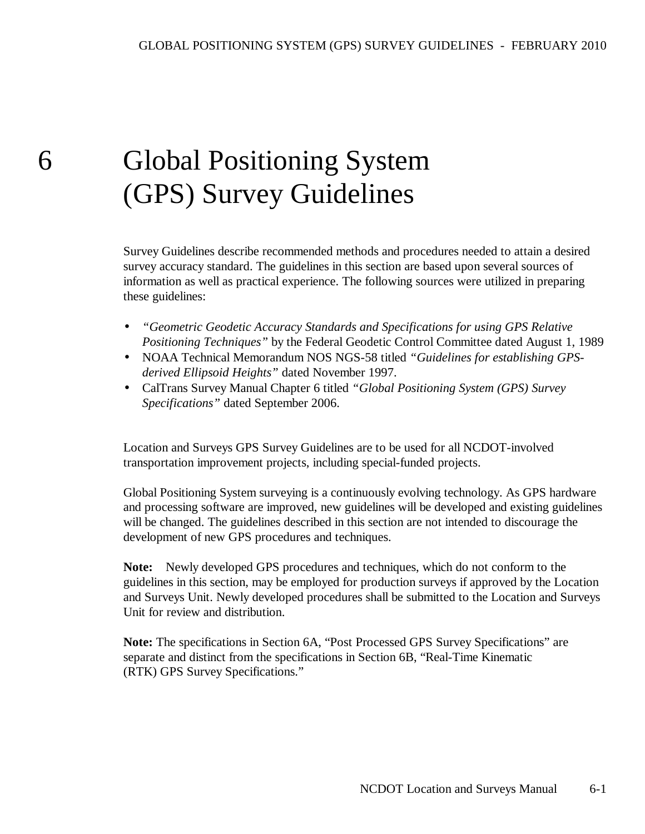# 6 Global Positioning System (GPS) Survey Guidelines

Survey Guidelines describe recommended methods and procedures needed to attain a desired survey accuracy standard. The guidelines in this section are based upon several sources of information as well as practical experience. The following sources were utilized in preparing these guidelines:

- *"Geometric Geodetic Accuracy Standards and Specifications for using GPS Relative Positioning Techniques"* by the Federal Geodetic Control Committee dated August 1, 1989
- NOAA Technical Memorandum NOS NGS-58 titled *"Guidelines for establishing GPSderived Ellipsoid Heights"* dated November 1997.
- CalTrans Survey Manual Chapter 6 titled *"Global Positioning System (GPS) Survey Specifications"* dated September 2006.

 Location and Surveys GPS Survey Guidelines are to be used for all NCDOT-involved transportation improvement projects, including special-funded projects.

 Global Positioning System surveying is a continuously evolving technology. As GPS hardware and processing software are improved, new guidelines will be developed and existing guidelines will be changed. The guidelines described in this section are not intended to discourage the development of new GPS procedures and techniques.

 **Note:** Newly developed GPS procedures and techniques, which do not conform to the guidelines in this section, may be employed for production surveys if approved by the Location and Surveys Unit. Newly developed procedures shall be submitted to the Location and Surveys Unit for review and distribution.

**Note:** The specifications in Section 6A, "Post Processed GPS Survey Specifications" are separate and distinct from the specifications in Section 6B, "Real-Time Kinematic (RTK) GPS Survey Specifications."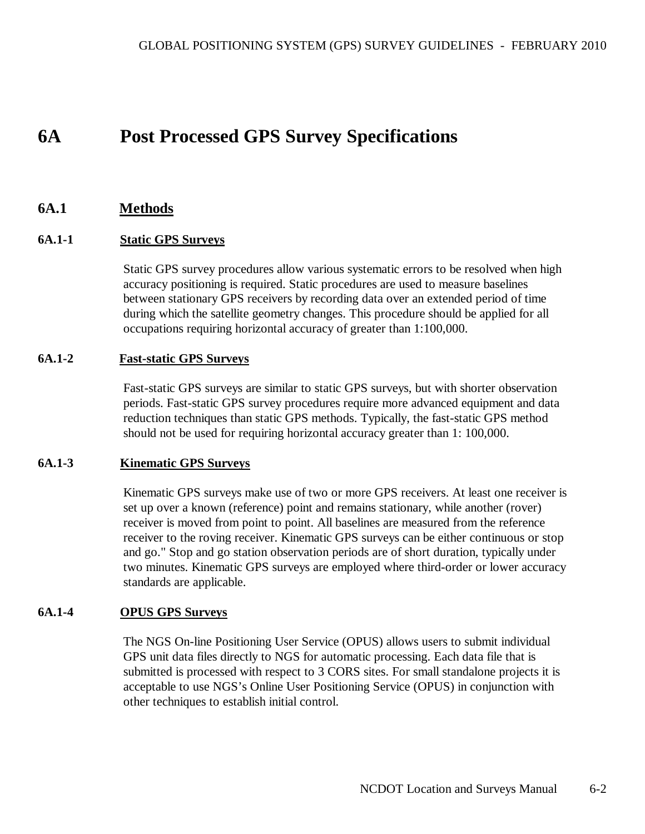# **6A Post Processed GPS Survey Specifications**

# **6A.1 Methods**

#### **6A.1-1 Static GPS Surveys**

 Static GPS survey procedures allow various systematic errors to be resolved when high accuracy positioning is required. Static procedures are used to measure baselines between stationary GPS receivers by recording data over an extended period of time during which the satellite geometry changes. This procedure should be applied for all occupations requiring horizontal accuracy of greater than 1:100,000.

#### **6A.1-2 Fast-static GPS Surveys**

 Fast-static GPS surveys are similar to static GPS surveys, but with shorter observation periods. Fast-static GPS survey procedures require more advanced equipment and data reduction techniques than static GPS methods. Typically, the fast-static GPS method should not be used for requiring horizontal accuracy greater than 1: 100,000.

#### **6A.1-3 Kinematic GPS Surveys**

 Kinematic GPS surveys make use of two or more GPS receivers. At least one receiver is set up over a known (reference) point and remains stationary, while another (rover) receiver is moved from point to point. All baselines are measured from the reference receiver to the roving receiver. Kinematic GPS surveys can be either continuous or stop and go." Stop and go station observation periods are of short duration, typically under two minutes. Kinematic GPS surveys are employed where third-order or lower accuracy standards are applicable.

#### **6A.1-4 OPUS GPS Surveys**

 The NGS On-line Positioning User Service (OPUS) allows users to submit individual GPS unit data files directly to NGS for automatic processing. Each data file that is submitted is processed with respect to 3 CORS sites. For small standalone projects it is acceptable to use NGS's Online User Positioning Service (OPUS) in conjunction with other techniques to establish initial control.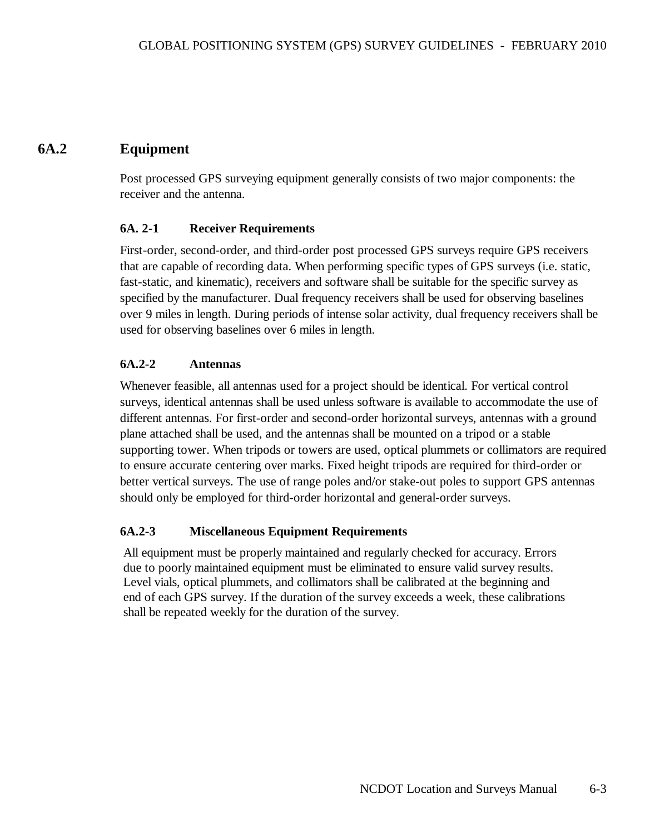# **6A.2 Equipment**

Post processed GPS surveying equipment generally consists of two major components: the receiver and the antenna.

# **6A. 2-1 Receiver Requirements**

First-order, second-order, and third-order post processed GPS surveys require GPS receivers that are capable of recording data. When performing specific types of GPS surveys (i.e. static, fast-static, and kinematic), receivers and software shall be suitable for the specific survey as specified by the manufacturer. Dual frequency receivers shall be used for observing baselines over 9 miles in length. During periods of intense solar activity, dual frequency receivers shall be used for observing baselines over 6 miles in length.

# **6A.2-2 Antennas**

Whenever feasible, all antennas used for a project should be identical. For vertical control surveys, identical antennas shall be used unless software is available to accommodate the use of different antennas. For first-order and second-order horizontal surveys, antennas with a ground plane attached shall be used, and the antennas shall be mounted on a tripod or a stable supporting tower. When tripods or towers are used, optical plummets or collimators are required to ensure accurate centering over marks. Fixed height tripods are required for third-order or better vertical surveys. The use of range poles and/or stake-out poles to support GPS antennas should only be employed for third-order horizontal and general-order surveys.

#### **6A.2-3 Miscellaneous Equipment Requirements**

All equipment must be properly maintained and regularly checked for accuracy. Errors due to poorly maintained equipment must be eliminated to ensure valid survey results. Level vials, optical plummets, and collimators shall be calibrated at the beginning and end of each GPS survey. If the duration of the survey exceeds a week, these calibrations shall be repeated weekly for the duration of the survey.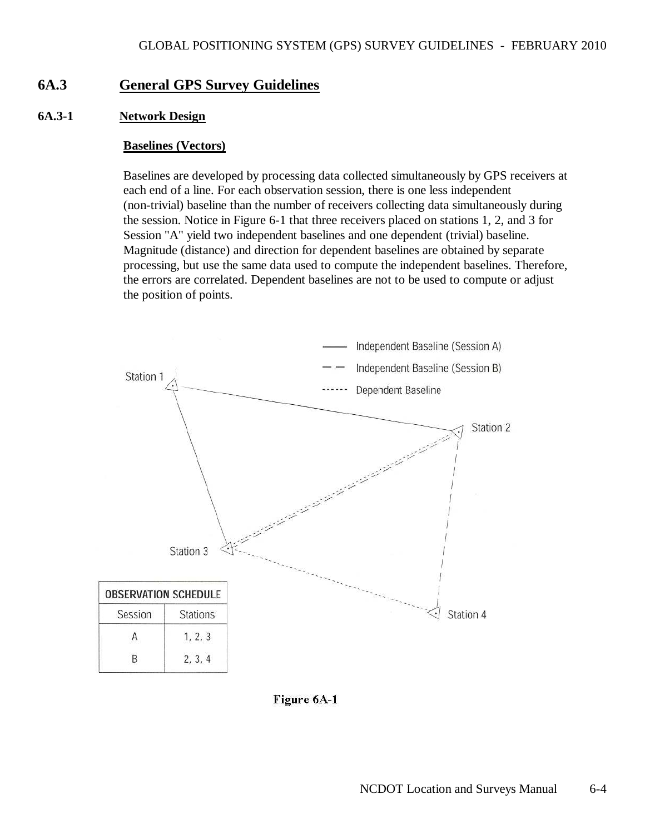# **6A.3 General GPS Survey Guidelines**

#### **6A.3-1 Network Design**

#### **Baselines (Vectors)**

 Baselines are developed by processing data collected simultaneously by GPS receivers at each end of a line. For each observation session, there is one less independent (non-trivial) baseline than the number of receivers collecting data simultaneously during the session. Notice in Figure 6-1 that three receivers placed on stations 1, 2, and 3 for Session "A" yield two independent baselines and one dependent (trivial) baseline. Magnitude (distance) and direction for dependent baselines are obtained by separate processing, but use the same data used to compute the independent baselines. Therefore, the errors are correlated. Dependent baselines are not to be used to compute or adjust the position of points.



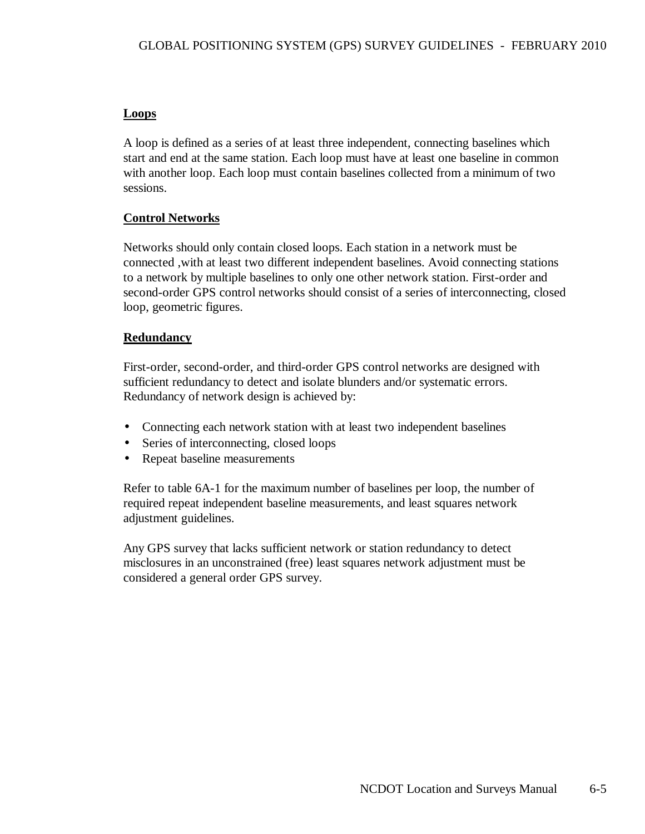# **Loops**

 A loop is defined as a series of at least three independent, connecting baselines which start and end at the same station. Each loop must have at least one baseline in common with another loop. Each loop must contain baselines collected from a minimum of two sessions.

# **Control Networks**

 Networks should only contain closed loops. Each station in a network must be connected ,with at least two different independent baselines. Avoid connecting stations to a network by multiple baselines to only one other network station. First-order and second-order GPS control networks should consist of a series of interconnecting, closed loop, geometric figures.

# **Redundancy**

 First-order, second-order, and third-order GPS control networks are designed with sufficient redundancy to detect and isolate blunders and/or systematic errors. Redundancy of network design is achieved by:

- Connecting each network station with at least two independent baselines
- Series of interconnecting, closed loops
- Repeat baseline measurements

 Refer to table 6A-1 for the maximum number of baselines per loop, the number of required repeat independent baseline measurements, and least squares network adjustment guidelines.

 Any GPS survey that lacks sufficient network or station redundancy to detect misclosures in an unconstrained (free) least squares network adjustment must be considered a general order GPS survey.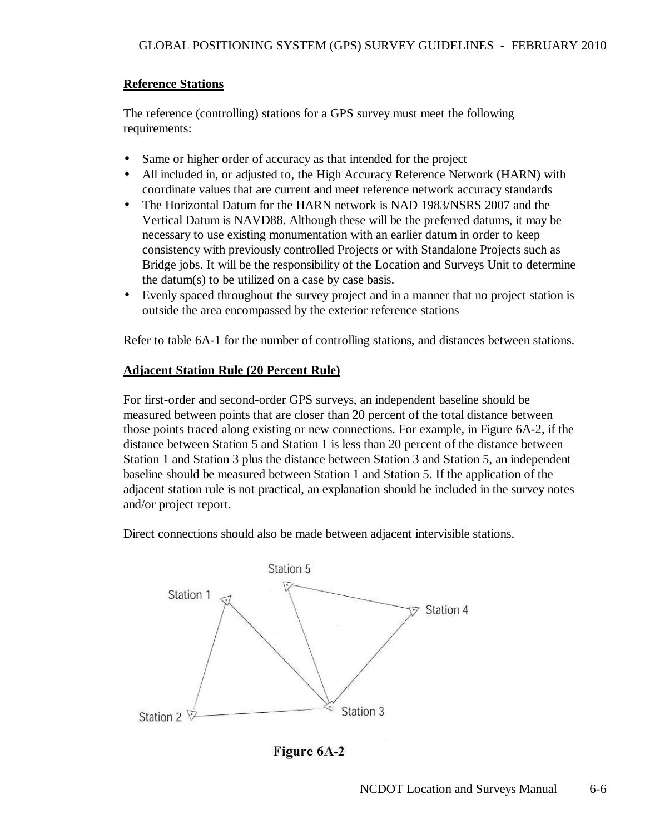# **Reference Stations**

 The reference (controlling) stations for a GPS survey must meet the following requirements:

- Same or higher order of accuracy as that intended for the project
- All included in, or adjusted to, the High Accuracy Reference Network (HARN) with coordinate values that are current and meet reference network accuracy standards
- The Horizontal Datum for the HARN network is NAD 1983/NSRS 2007 and the Vertical Datum is NAVD88. Although these will be the preferred datums, it may be necessary to use existing monumentation with an earlier datum in order to keep consistency with previously controlled Projects or with Standalone Projects such as Bridge jobs. It will be the responsibility of the Location and Surveys Unit to determine the datum(s) to be utilized on a case by case basis.
- Evenly spaced throughout the survey project and in a manner that no project station is outside the area encompassed by the exterior reference stations

Refer to table 6A-1 for the number of controlling stations, and distances between stations.

# **Adjacent Station Rule (20 Percent Rule)**

 For first-order and second-order GPS surveys, an independent baseline should be measured between points that are closer than 20 percent of the total distance between those points traced along existing or new connections. For example, in Figure 6A-2, if the distance between Station 5 and Station 1 is less than 20 percent of the distance between Station 1 and Station 3 plus the distance between Station 3 and Station 5, an independent baseline should be measured between Station 1 and Station 5. If the application of the adjacent station rule is not practical, an explanation should be included in the survey notes and/or project report.

Direct connections should also be made between adjacent intervisible stations.



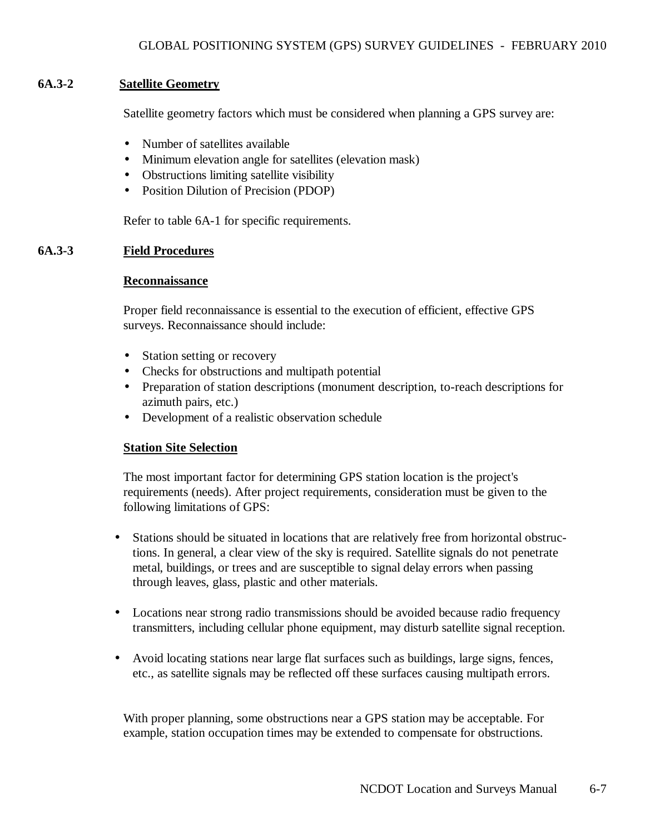### **6A.3-2 Satellite Geometry**

Satellite geometry factors which must be considered when planning a GPS survey are:

- Number of satellites available
- Minimum elevation angle for satellites (elevation mask)
- Obstructions limiting satellite visibility
- Position Dilution of Precision (PDOP)

Refer to table 6A-1 for specific requirements.

#### **6A.3-3 Field Procedures**

#### **Reconnaissance**

 Proper field reconnaissance is essential to the execution of efficient, effective GPS surveys. Reconnaissance should include:

- Station setting or recovery
- Checks for obstructions and multipath potential
- Preparation of station descriptions (monument description, to-reach descriptions for azimuth pairs, etc.)
- Development of a realistic observation schedule

#### **Station Site Selection**

 The most important factor for determining GPS station location is the project's requirements (needs). After project requirements, consideration must be given to the following limitations of GPS:

- Stations should be situated in locations that are relatively free from horizontal obstructions. In general, a clear view of the sky is required. Satellite signals do not penetrate metal, buildings, or trees and are susceptible to signal delay errors when passing through leaves, glass, plastic and other materials.
- Locations near strong radio transmissions should be avoided because radio frequency transmitters, including cellular phone equipment, may disturb satellite signal reception.
- Avoid locating stations near large flat surfaces such as buildings, large signs, fences, etc., as satellite signals may be reflected off these surfaces causing multipath errors.

With proper planning, some obstructions near a GPS station may be acceptable. For example, station occupation times may be extended to compensate for obstructions.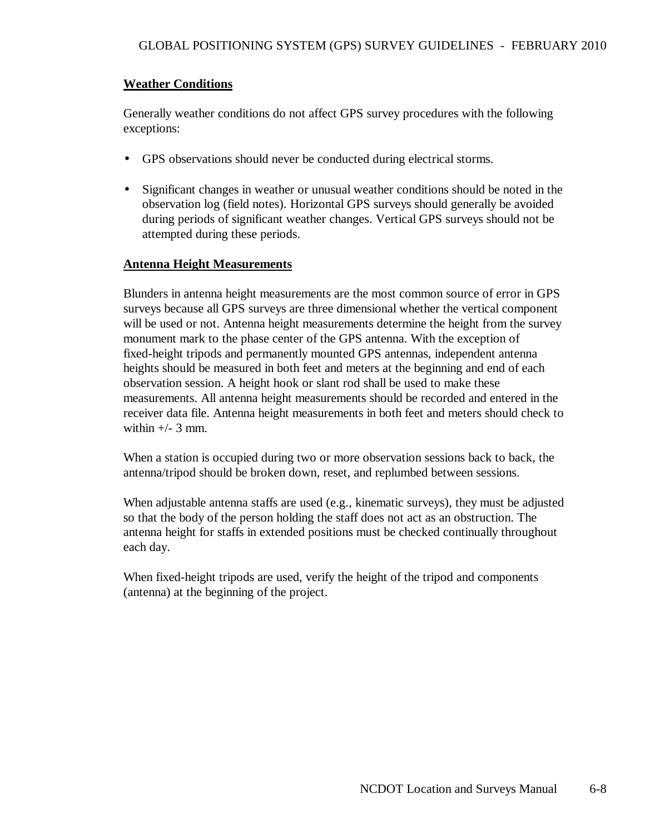# **Weather Conditions**

 Generally weather conditions do not affect GPS survey procedures with the following exceptions:

- GPS observations should never be conducted during electrical storms.
- Significant changes in weather or unusual weather conditions should be noted in the observation log (field notes). Horizontal GPS surveys should generally be avoided during periods of significant weather changes. Vertical GPS surveys should not be attempted during these periods.

#### **Antenna Height Measurements**

 Blunders in antenna height measurements are the most common source of error in GPS surveys because all GPS surveys are three dimensional whether the vertical component will be used or not. Antenna height measurements determine the height from the survey monument mark to the phase center of the GPS antenna. With the exception of fixed-height tripods and permanently mounted GPS antennas, independent antenna heights should be measured in both feet and meters at the beginning and end of each observation session. A height hook or slant rod shall be used to make these measurements. All antenna height measurements should be recorded and entered in the receiver data file. Antenna height measurements in both feet and meters should check to within  $+/-$  3 mm.

 When a station is occupied during two or more observation sessions back to back, the antenna/tripod should be broken down, reset, and replumbed between sessions.

 When adjustable antenna staffs are used (e.g., kinematic surveys), they must be adjusted so that the body of the person holding the staff does not act as an obstruction. The antenna height for staffs in extended positions must be checked continually throughout each day.

 When fixed-height tripods are used, verify the height of the tripod and components (antenna) at the beginning of the project.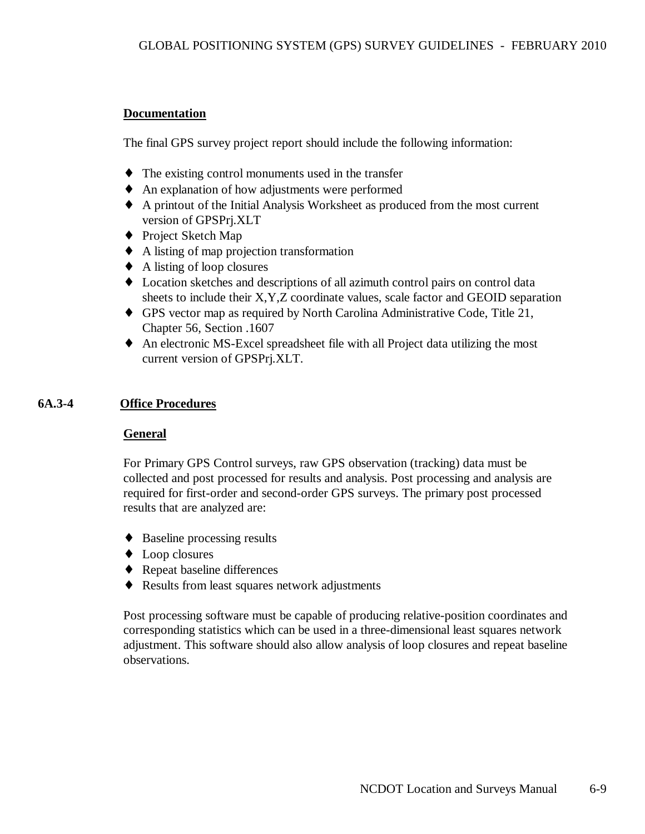# **Documentation**

The final GPS survey project report should include the following information:

- ♦ The existing control monuments used in the transfer
- An explanation of how adjustments were performed
- ♦ A printout of the Initial Analysis Worksheet as produced from the most current version of GPSPrj.XLT
- ◆ Project Sketch Map
- ♦ A listing of map projection transformation
- $\triangle$  A listing of loop closures
- ♦ Location sketches and descriptions of all azimuth control pairs on control data sheets to include their X,Y,Z coordinate values, scale factor and GEOID separation
- ♦ GPS vector map as required by North Carolina Administrative Code, Title 21, Chapter 56, Section .1607
- ♦ An electronic MS-Excel spreadsheet file with all Project data utilizing the most current version of GPSPrj.XLT.

# **6A.3-4 Office Procedures**

# **General**

 For Primary GPS Control surveys, raw GPS observation (tracking) data must be collected and post processed for results and analysis. Post processing and analysis are required for first-order and second-order GPS surveys. The primary post processed results that are analyzed are:

- ♦ Baseline processing results
- ♦ Loop closures
- ♦ Repeat baseline differences
- ♦ Results from least squares network adjustments

 Post processing software must be capable of producing relative-position coordinates and corresponding statistics which can be used in a three-dimensional least squares network adjustment. This software should also allow analysis of loop closures and repeat baseline observations.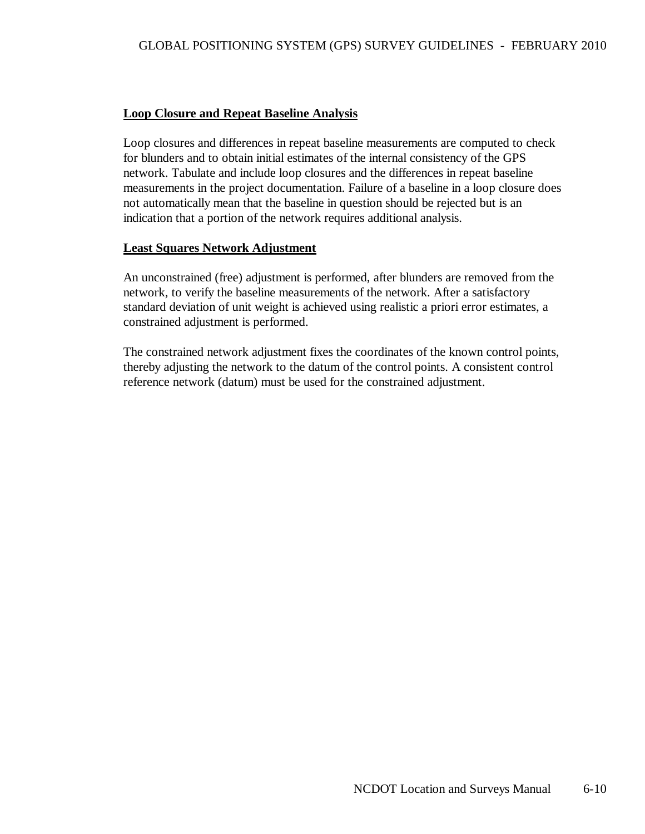### **Loop Closure and Repeat Baseline Analysis**

 Loop closures and differences in repeat baseline measurements are computed to check for blunders and to obtain initial estimates of the internal consistency of the GPS network. Tabulate and include loop closures and the differences in repeat baseline measurements in the project documentation. Failure of a baseline in a loop closure does not automatically mean that the baseline in question should be rejected but is an indication that a portion of the network requires additional analysis.

#### **Least Squares Network Adjustment**

 An unconstrained (free) adjustment is performed, after blunders are removed from the network, to verify the baseline measurements of the network. After a satisfactory standard deviation of unit weight is achieved using realistic a priori error estimates, a constrained adjustment is performed.

 The constrained network adjustment fixes the coordinates of the known control points, thereby adjusting the network to the datum of the control points. A consistent control reference network (datum) must be used for the constrained adjustment.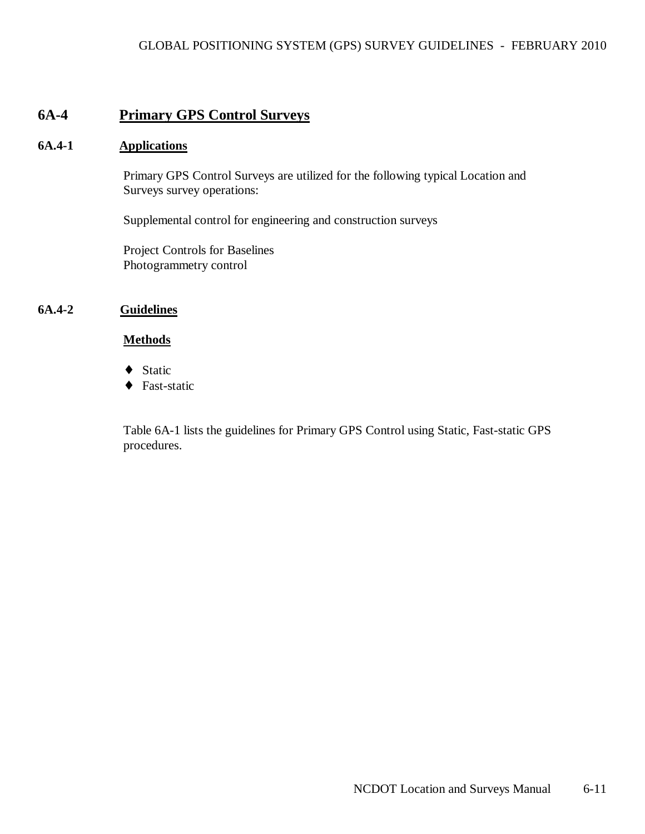# **6A-4 Primary GPS Control Surveys**

#### **6A.4-1 Applications**

 Primary GPS Control Surveys are utilized for the following typical Location and Surveys survey operations:

Supplemental control for engineering and construction surveys

 Project Controls for Baselines Photogrammetry control

#### **6A.4-2 Guidelines**

#### **Methods**

- ♦ Static
- ♦ Fast-static

 Table 6A-1 lists the guidelines for Primary GPS Control using Static, Fast-static GPS procedures.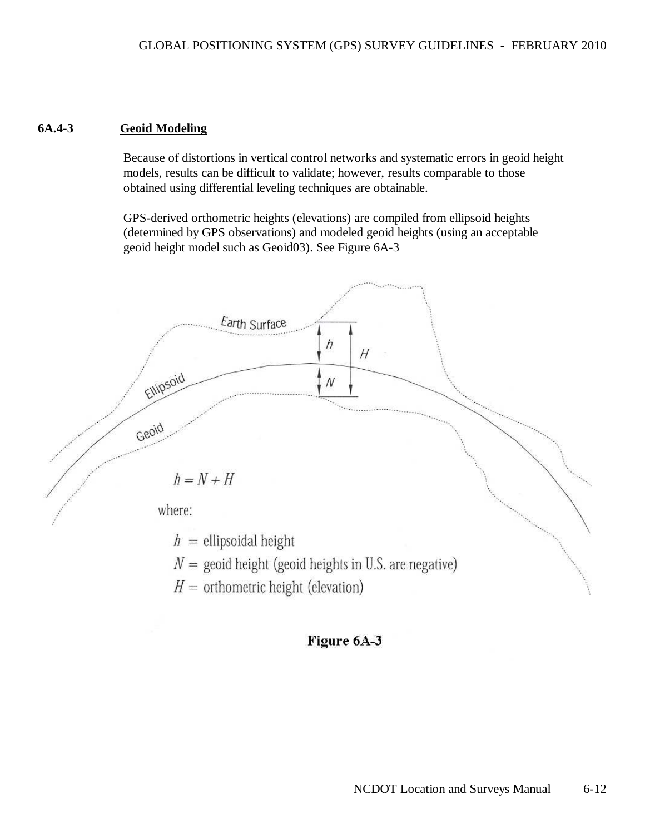#### **6A.4-3 Geoid Modeling**

 Because of distortions in vertical control networks and systematic errors in geoid height models, results can be difficult to validate; however, results comparable to those obtained using differential leveling techniques are obtainable.

 GPS-derived orthometric heights (elevations) are compiled from ellipsoid heights (determined by GPS observations) and modeled geoid heights (using an acceptable geoid height model such as Geoid03). See Figure 6A-3



Figure 6A-3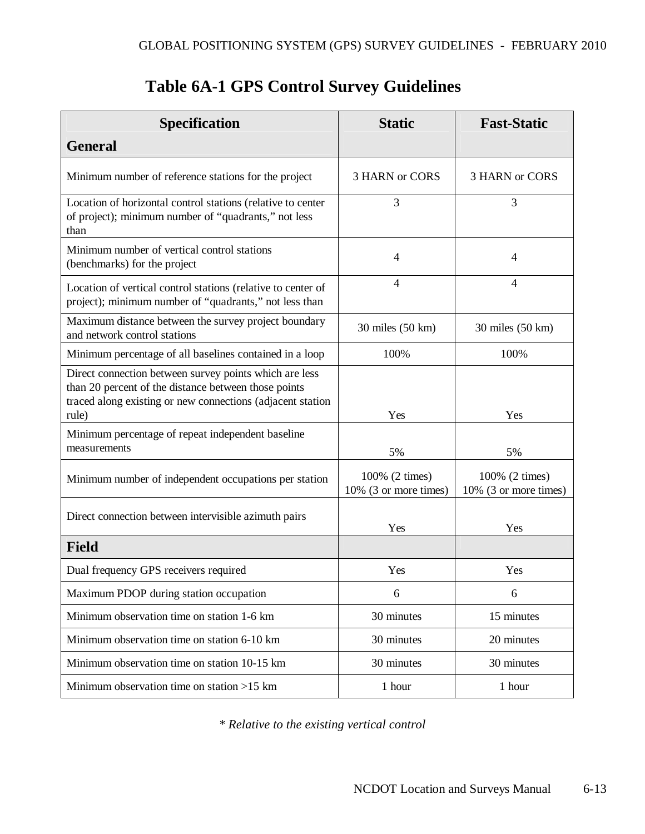| <b>Specification</b>                                                                                                                                                                  | <b>Static</b>                           | <b>Fast-Static</b>                      |
|---------------------------------------------------------------------------------------------------------------------------------------------------------------------------------------|-----------------------------------------|-----------------------------------------|
| <b>General</b>                                                                                                                                                                        |                                         |                                         |
| Minimum number of reference stations for the project                                                                                                                                  | <b>3 HARN or CORS</b>                   | 3 HARN or CORS                          |
| Location of horizontal control stations (relative to center<br>of project); minimum number of "quadrants," not less<br>than                                                           | 3                                       | 3                                       |
| Minimum number of vertical control stations<br>(benchmarks) for the project                                                                                                           | 4                                       | $\overline{4}$                          |
| Location of vertical control stations (relative to center of<br>project); minimum number of "quadrants," not less than                                                                | 4                                       | 4                                       |
| Maximum distance between the survey project boundary<br>and network control stations                                                                                                  | 30 miles (50 km)                        | 30 miles (50 km)                        |
| Minimum percentage of all baselines contained in a loop                                                                                                                               | 100%                                    | 100%                                    |
| Direct connection between survey points which are less<br>than 20 percent of the distance between those points<br>traced along existing or new connections (adjacent station<br>rule) | Yes                                     | Yes                                     |
| Minimum percentage of repeat independent baseline<br>measurements                                                                                                                     | 5%                                      | 5%                                      |
| Minimum number of independent occupations per station                                                                                                                                 | 100% (2 times)<br>10% (3 or more times) | 100% (2 times)<br>10% (3 or more times) |
| Direct connection between intervisible azimuth pairs                                                                                                                                  | Yes                                     | Yes                                     |
| <b>Field</b>                                                                                                                                                                          |                                         |                                         |
| Dual frequency GPS receivers required                                                                                                                                                 | Yes                                     | Yes                                     |
| Maximum PDOP during station occupation                                                                                                                                                | 6                                       | 6                                       |
| Minimum observation time on station 1-6 km                                                                                                                                            | 30 minutes                              | 15 minutes                              |
| Minimum observation time on station 6-10 km                                                                                                                                           | 30 minutes                              | 20 minutes                              |
| Minimum observation time on station 10-15 km                                                                                                                                          | 30 minutes                              | 30 minutes                              |
| Minimum observation time on station $>15$ km                                                                                                                                          | 1 hour                                  | 1 hour                                  |

# **Table 6A-1 GPS Control Survey Guidelines**

*\* Relative to the existing vertical control*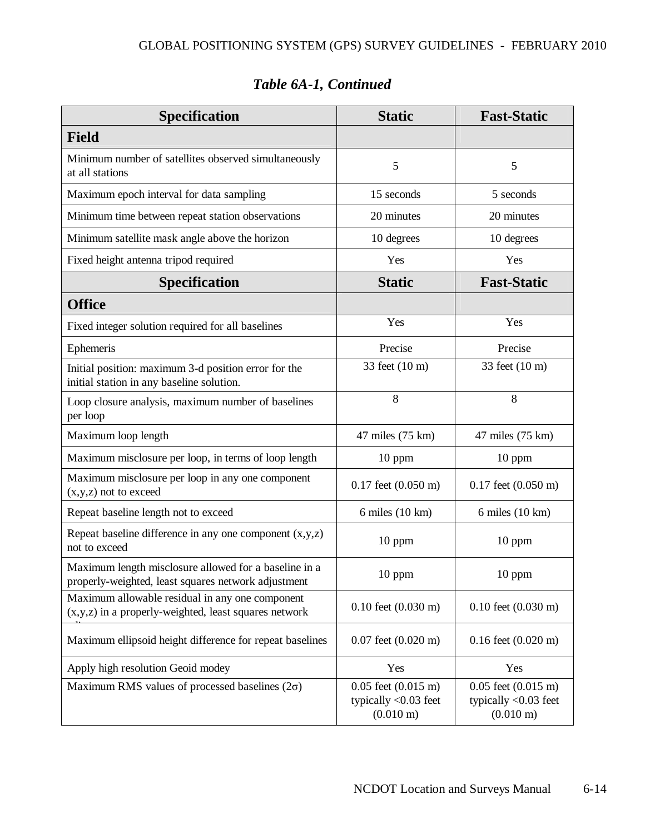| <b>Specification</b>                                                                                         | <b>Static</b>                                                                     | <b>Fast-Static</b>                                                                |
|--------------------------------------------------------------------------------------------------------------|-----------------------------------------------------------------------------------|-----------------------------------------------------------------------------------|
| <b>Field</b>                                                                                                 |                                                                                   |                                                                                   |
| Minimum number of satellites observed simultaneously<br>at all stations                                      | 5                                                                                 | 5                                                                                 |
| Maximum epoch interval for data sampling                                                                     | 15 seconds                                                                        | 5 seconds                                                                         |
| Minimum time between repeat station observations                                                             | 20 minutes                                                                        | 20 minutes                                                                        |
| Minimum satellite mask angle above the horizon                                                               | 10 degrees                                                                        | 10 degrees                                                                        |
| Fixed height antenna tripod required                                                                         | Yes                                                                               | Yes                                                                               |
| <b>Specification</b>                                                                                         | <b>Static</b>                                                                     | <b>Fast-Static</b>                                                                |
| <b>Office</b>                                                                                                |                                                                                   |                                                                                   |
| Fixed integer solution required for all baselines                                                            | Yes                                                                               | Yes                                                                               |
| Ephemeris                                                                                                    | Precise                                                                           | Precise                                                                           |
| Initial position: maximum 3-d position error for the<br>initial station in any baseline solution.            | 33 feet (10 m)                                                                    | 33 feet (10 m)                                                                    |
| Loop closure analysis, maximum number of baselines<br>per loop                                               | 8                                                                                 | 8                                                                                 |
| Maximum loop length                                                                                          | 47 miles (75 km)                                                                  | 47 miles (75 km)                                                                  |
| Maximum misclosure per loop, in terms of loop length                                                         | $10$ ppm                                                                          | $10$ ppm                                                                          |
| Maximum misclosure per loop in any one component<br>$(x,y,z)$ not to exceed                                  | $0.17$ feet $(0.050 \text{ m})$                                                   | $0.17$ feet $(0.050 \text{ m})$                                                   |
| Repeat baseline length not to exceed                                                                         | 6 miles (10 km)                                                                   | $6$ miles $(10 \text{ km})$                                                       |
| Repeat baseline difference in any one component $(x,y,z)$<br>not to exceed                                   | 10 ppm                                                                            | 10 ppm                                                                            |
| Maximum length misclosure allowed for a baseline in a<br>properly-weighted, least squares network adjustment | 10 ppm                                                                            | 10 ppm                                                                            |
| Maximum allowable residual in any one component<br>$(x,y,z)$ in a properly-weighted, least squares network   | $0.10$ feet $(0.030 \text{ m})$                                                   | $0.10$ feet $(0.030 \text{ m})$                                                   |
| Maximum ellipsoid height difference for repeat baselines                                                     | $0.07$ feet $(0.020 \text{ m})$                                                   | $0.16$ feet $(0.020 \text{ m})$                                                   |
| Apply high resolution Geoid modey                                                                            | Yes                                                                               | Yes                                                                               |
| Maximum RMS values of processed baselines $(2\sigma)$                                                        | $0.05$ feet $(0.015 \text{ m})$<br>typically $<$ 0.03 feet<br>$(0.010 \text{ m})$ | $0.05$ feet $(0.015 \text{ m})$<br>typically $<$ 0.03 feet<br>$(0.010 \text{ m})$ |

# *Table 6A-1, Continued*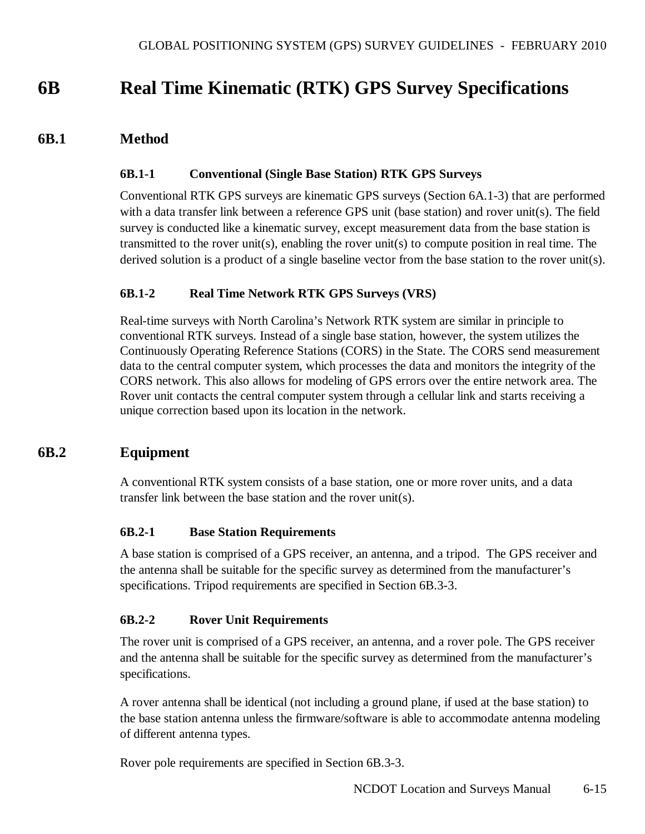# **6B Real Time Kinematic (RTK) GPS Survey Specifications**

# **6B.1 Method**

#### **6B.1-1 Conventional (Single Base Station) RTK GPS Surveys**

Conventional RTK GPS surveys are kinematic GPS surveys (Section 6A.1-3) that are performed with a data transfer link between a reference GPS unit (base station) and rover unit(s). The field survey is conducted like a kinematic survey, except measurement data from the base station is transmitted to the rover unit(s), enabling the rover unit(s) to compute position in real time. The derived solution is a product of a single baseline vector from the base station to the rover unit(s).

#### **6B.1-2 Real Time Network RTK GPS Surveys (VRS)**

Real-time surveys with North Carolina's Network RTK system are similar in principle to conventional RTK surveys. Instead of a single base station, however, the system utilizes the Continuously Operating Reference Stations (CORS) in the State. The CORS send measurement data to the central computer system, which processes the data and monitors the integrity of the CORS network. This also allows for modeling of GPS errors over the entire network area. The Rover unit contacts the central computer system through a cellular link and starts receiving a unique correction based upon its location in the network.

# **6B.2 Equipment**

A conventional RTK system consists of a base station, one or more rover units, and a data transfer link between the base station and the rover unit(s).

#### **6B.2-1 Base Station Requirements**

A base station is comprised of a GPS receiver, an antenna, and a tripod. The GPS receiver and the antenna shall be suitable for the specific survey as determined from the manufacturer's specifications. Tripod requirements are specified in Section 6B.3-3.

#### **6B.2-2 Rover Unit Requirements**

The rover unit is comprised of a GPS receiver, an antenna, and a rover pole. The GPS receiver and the antenna shall be suitable for the specific survey as determined from the manufacturer's specifications.

A rover antenna shall be identical (not including a ground plane, if used at the base station) to the base station antenna unless the firmware/software is able to accommodate antenna modeling of different antenna types.

Rover pole requirements are specified in Section 6B.3-3.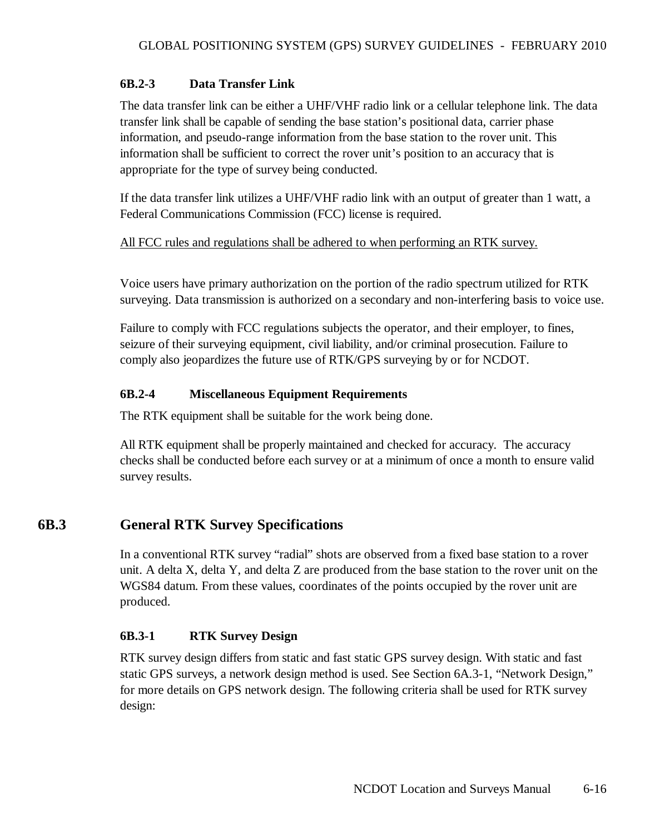# **6B.2-3 Data Transfer Link**

The data transfer link can be either a UHF/VHF radio link or a cellular telephone link. The data transfer link shall be capable of sending the base station's positional data, carrier phase information, and pseudo-range information from the base station to the rover unit. This information shall be sufficient to correct the rover unit's position to an accuracy that is appropriate for the type of survey being conducted.

If the data transfer link utilizes a UHF/VHF radio link with an output of greater than 1 watt, a Federal Communications Commission (FCC) license is required.

# All FCC rules and regulations shall be adhered to when performing an RTK survey.

Voice users have primary authorization on the portion of the radio spectrum utilized for RTK surveying. Data transmission is authorized on a secondary and non-interfering basis to voice use.

Failure to comply with FCC regulations subjects the operator, and their employer, to fines, seizure of their surveying equipment, civil liability, and/or criminal prosecution. Failure to comply also jeopardizes the future use of RTK/GPS surveying by or for NCDOT.

# **6B.2-4 Miscellaneous Equipment Requirements**

The RTK equipment shall be suitable for the work being done.

All RTK equipment shall be properly maintained and checked for accuracy. The accuracy checks shall be conducted before each survey or at a minimum of once a month to ensure valid survey results.

# **6B.3 General RTK Survey Specifications**

In a conventional RTK survey "radial" shots are observed from a fixed base station to a rover unit. A delta X, delta Y, and delta Z are produced from the base station to the rover unit on the WGS84 datum. From these values, coordinates of the points occupied by the rover unit are produced.

# **6B.3-1 RTK Survey Design**

RTK survey design differs from static and fast static GPS survey design. With static and fast static GPS surveys, a network design method is used. See Section 6A.3-1, "Network Design," for more details on GPS network design. The following criteria shall be used for RTK survey design: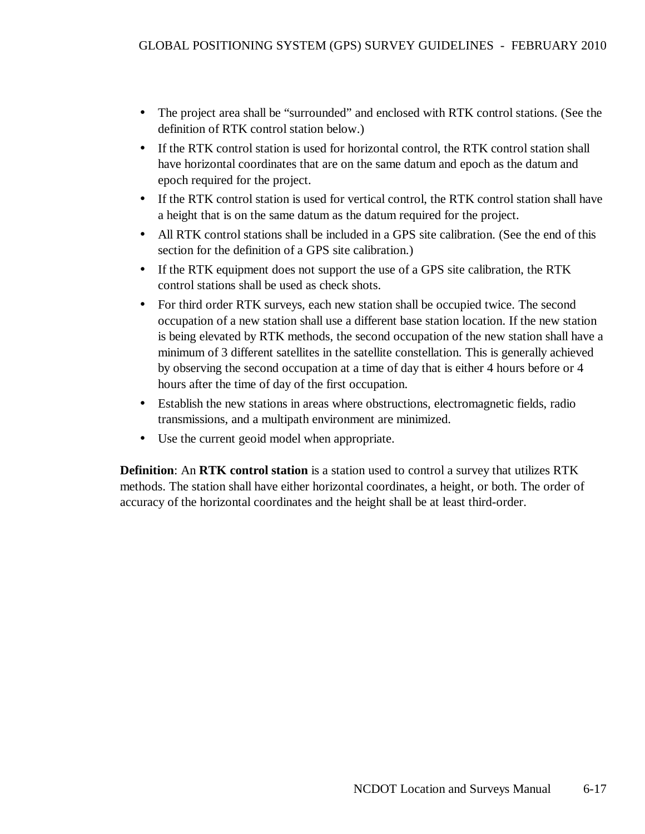- The project area shall be "surrounded" and enclosed with RTK control stations. (See the definition of RTK control station below.)
- If the RTK control station is used for horizontal control, the RTK control station shall have horizontal coordinates that are on the same datum and epoch as the datum and epoch required for the project.
- If the RTK control station is used for vertical control, the RTK control station shall have a height that is on the same datum as the datum required for the project.
- All RTK control stations shall be included in a GPS site calibration. (See the end of this section for the definition of a GPS site calibration.)
- If the RTK equipment does not support the use of a GPS site calibration, the RTK control stations shall be used as check shots.
- For third order RTK surveys, each new station shall be occupied twice. The second occupation of a new station shall use a different base station location. If the new station is being elevated by RTK methods, the second occupation of the new station shall have a minimum of 3 different satellites in the satellite constellation. This is generally achieved by observing the second occupation at a time of day that is either 4 hours before or 4 hours after the time of day of the first occupation.
- Establish the new stations in areas where obstructions, electromagnetic fields, radio transmissions, and a multipath environment are minimized.
- Use the current geoid model when appropriate.

**Definition**: An **RTK control station** is a station used to control a survey that utilizes RTK methods. The station shall have either horizontal coordinates, a height, or both. The order of accuracy of the horizontal coordinates and the height shall be at least third-order.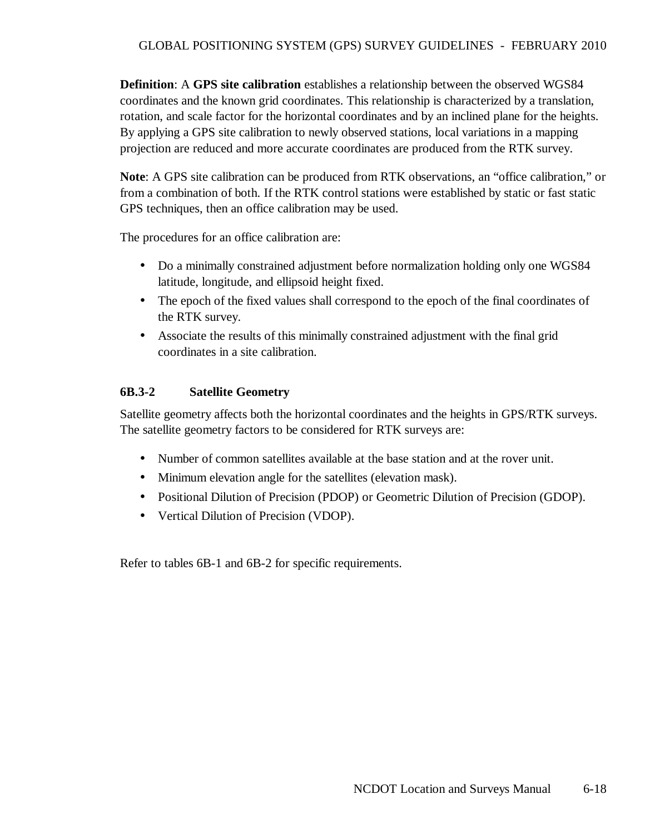**Definition**: A **GPS site calibration** establishes a relationship between the observed WGS84 coordinates and the known grid coordinates. This relationship is characterized by a translation, rotation, and scale factor for the horizontal coordinates and by an inclined plane for the heights. By applying a GPS site calibration to newly observed stations, local variations in a mapping projection are reduced and more accurate coordinates are produced from the RTK survey.

**Note**: A GPS site calibration can be produced from RTK observations, an "office calibration," or from a combination of both. If the RTK control stations were established by static or fast static GPS techniques, then an office calibration may be used.

The procedures for an office calibration are:

- Do a minimally constrained adjustment before normalization holding only one WGS84 latitude, longitude, and ellipsoid height fixed.
- The epoch of the fixed values shall correspond to the epoch of the final coordinates of the RTK survey.
- Associate the results of this minimally constrained adjustment with the final grid coordinates in a site calibration.

# **6B.3-2 Satellite Geometry**

Satellite geometry affects both the horizontal coordinates and the heights in GPS/RTK surveys. The satellite geometry factors to be considered for RTK surveys are:

- Number of common satellites available at the base station and at the rover unit.
- Minimum elevation angle for the satellites (elevation mask).
- Positional Dilution of Precision (PDOP) or Geometric Dilution of Precision (GDOP).
- Vertical Dilution of Precision (VDOP).

Refer to tables 6B-1 and 6B-2 for specific requirements.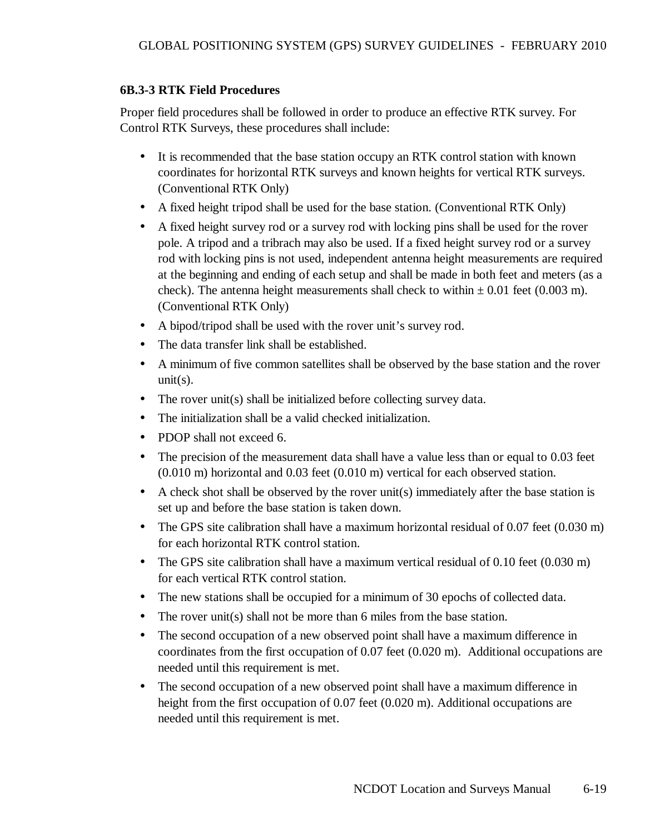# **6B.3-3 RTK Field Procedures**

Proper field procedures shall be followed in order to produce an effective RTK survey. For Control RTK Surveys, these procedures shall include:

- It is recommended that the base station occupy an RTK control station with known coordinates for horizontal RTK surveys and known heights for vertical RTK surveys. (Conventional RTK Only)
- A fixed height tripod shall be used for the base station. (Conventional RTK Only)
- A fixed height survey rod or a survey rod with locking pins shall be used for the rover pole. A tripod and a tribrach may also be used. If a fixed height survey rod or a survey rod with locking pins is not used, independent antenna height measurements are required at the beginning and ending of each setup and shall be made in both feet and meters (as a check). The antenna height measurements shall check to within  $\pm 0.01$  feet (0.003 m). (Conventional RTK Only)
- A bipod/tripod shall be used with the rover unit's survey rod.
- The data transfer link shall be established.
- A minimum of five common satellites shall be observed by the base station and the rover  $unit(s)$ .
- The rover unit(s) shall be initialized before collecting survey data.
- The initialization shall be a valid checked initialization.
- PDOP shall not exceed 6.
- The precision of the measurement data shall have a value less than or equal to 0.03 feet (0.010 m) horizontal and 0.03 feet (0.010 m) vertical for each observed station.
- A check shot shall be observed by the rover unit(s) immediately after the base station is set up and before the base station is taken down.
- The GPS site calibration shall have a maximum horizontal residual of 0.07 feet (0.030 m) for each horizontal RTK control station.
- The GPS site calibration shall have a maximum vertical residual of 0.10 feet (0.030 m) for each vertical RTK control station.
- The new stations shall be occupied for a minimum of 30 epochs of collected data.
- The rover unit(s) shall not be more than 6 miles from the base station.
- The second occupation of a new observed point shall have a maximum difference in coordinates from the first occupation of 0.07 feet (0.020 m). Additional occupations are needed until this requirement is met.
- The second occupation of a new observed point shall have a maximum difference in height from the first occupation of 0.07 feet (0.020 m). Additional occupations are needed until this requirement is met.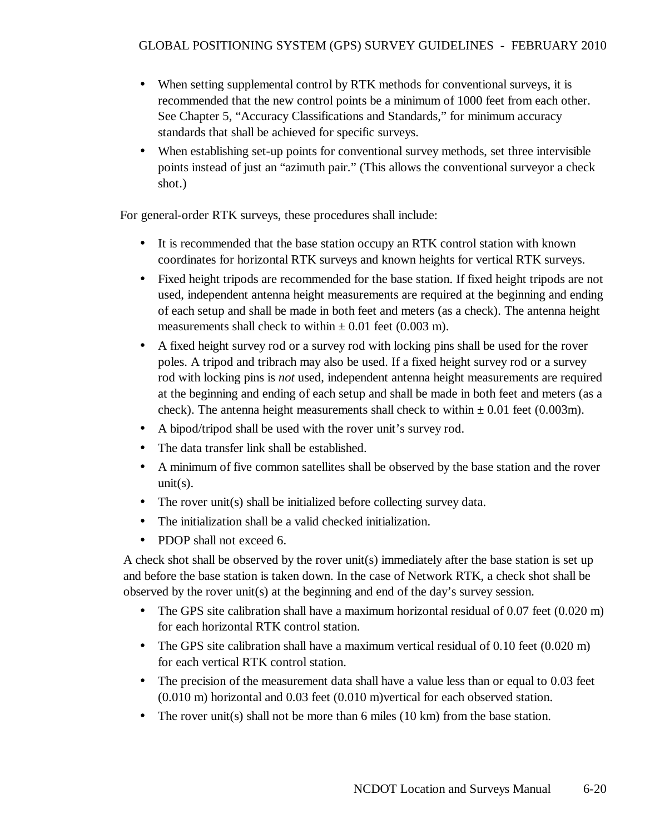- When setting supplemental control by RTK methods for conventional surveys, it is recommended that the new control points be a minimum of 1000 feet from each other. See Chapter 5, "Accuracy Classifications and Standards," for minimum accuracy standards that shall be achieved for specific surveys.
- When establishing set-up points for conventional survey methods, set three intervisible points instead of just an "azimuth pair." (This allows the conventional surveyor a check shot.)

For general-order RTK surveys, these procedures shall include:

- It is recommended that the base station occupy an RTK control station with known coordinates for horizontal RTK surveys and known heights for vertical RTK surveys.
- Fixed height tripods are recommended for the base station. If fixed height tripods are not used, independent antenna height measurements are required at the beginning and ending of each setup and shall be made in both feet and meters (as a check). The antenna height measurements shall check to within  $\pm$  0.01 feet (0.003 m).
- A fixed height survey rod or a survey rod with locking pins shall be used for the rover poles. A tripod and tribrach may also be used. If a fixed height survey rod or a survey rod with locking pins is *not* used, independent antenna height measurements are required at the beginning and ending of each setup and shall be made in both feet and meters (as a check). The antenna height measurements shall check to within  $\pm 0.01$  feet (0.003m).
- A bipod/tripod shall be used with the rover unit's survey rod.
- The data transfer link shall be established.
- A minimum of five common satellites shall be observed by the base station and the rover  $unit(s)$ .
- The rover unit(s) shall be initialized before collecting survey data.
- The initialization shall be a valid checked initialization.
- PDOP shall not exceed 6.

A check shot shall be observed by the rover unit(s) immediately after the base station is set up and before the base station is taken down. In the case of Network RTK, a check shot shall be observed by the rover unit(s) at the beginning and end of the day's survey session.

- The GPS site calibration shall have a maximum horizontal residual of 0.07 feet (0.020 m) for each horizontal RTK control station.
- The GPS site calibration shall have a maximum vertical residual of 0.10 feet (0.020 m) for each vertical RTK control station.
- The precision of the measurement data shall have a value less than or equal to 0.03 feet (0.010 m) horizontal and 0.03 feet (0.010 m)vertical for each observed station.
- The rover unit(s) shall not be more than 6 miles  $(10 \text{ km})$  from the base station.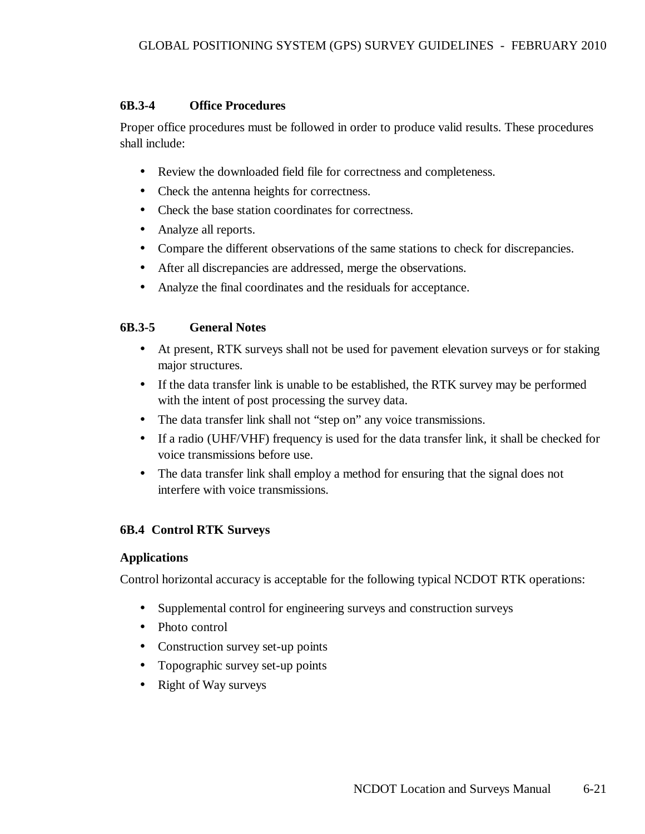# **6B.3-4 Office Procedures**

Proper office procedures must be followed in order to produce valid results. These procedures shall include:

- Review the downloaded field file for correctness and completeness.
- Check the antenna heights for correctness.
- Check the base station coordinates for correctness.
- Analyze all reports.
- Compare the different observations of the same stations to check for discrepancies.
- After all discrepancies are addressed, merge the observations.
- Analyze the final coordinates and the residuals for acceptance.

# **6B.3-5 General Notes**

- At present, RTK surveys shall not be used for pavement elevation surveys or for staking major structures.
- If the data transfer link is unable to be established, the RTK survey may be performed with the intent of post processing the survey data.
- The data transfer link shall not "step on" any voice transmissions.
- If a radio (UHF/VHF) frequency is used for the data transfer link, it shall be checked for voice transmissions before use.
- The data transfer link shall employ a method for ensuring that the signal does not interfere with voice transmissions.

# **6B.4 Control RTK Surveys**

# **Applications**

Control horizontal accuracy is acceptable for the following typical NCDOT RTK operations:

- Supplemental control for engineering surveys and construction surveys
- Photo control
- Construction survey set-up points
- Topographic survey set-up points
- Right of Way surveys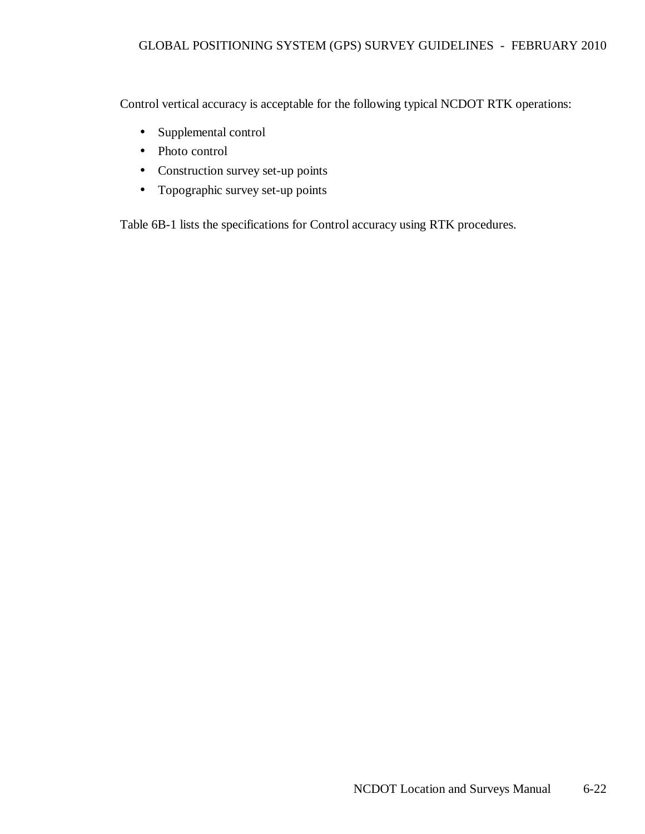Control vertical accuracy is acceptable for the following typical NCDOT RTK operations:

- Supplemental control
- Photo control
- Construction survey set-up points
- Topographic survey set-up points

Table 6B-1 lists the specifications for Control accuracy using RTK procedures.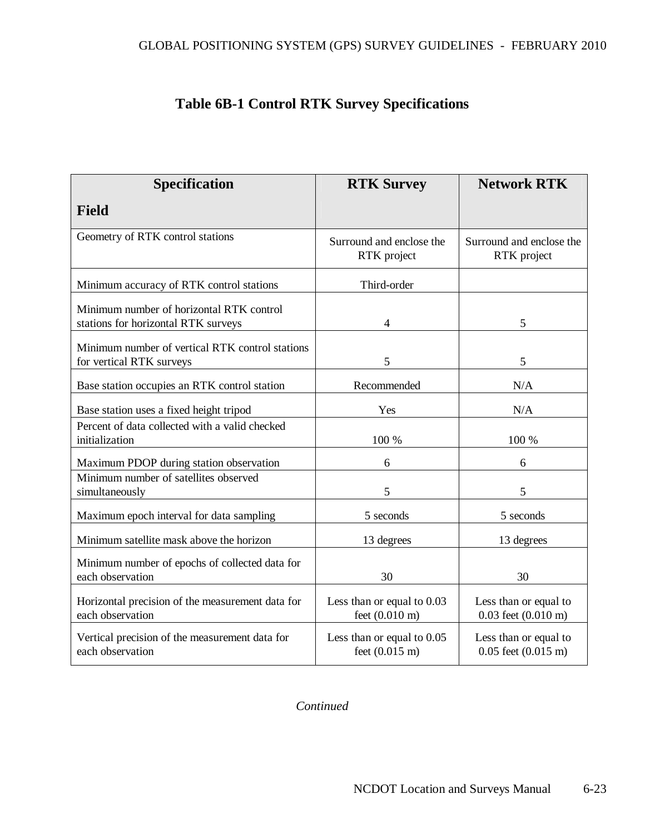# **Table 6B-1 Control RTK Survey Specifications**

| <b>Specification</b>                                                            | <b>RTK Survey</b>                                      | <b>Network RTK</b>                                       |
|---------------------------------------------------------------------------------|--------------------------------------------------------|----------------------------------------------------------|
| <b>Field</b>                                                                    |                                                        |                                                          |
| Geometry of RTK control stations                                                | Surround and enclose the<br>RTK project                | Surround and enclose the<br>RTK project                  |
| Minimum accuracy of RTK control stations                                        | Third-order                                            |                                                          |
| Minimum number of horizontal RTK control<br>stations for horizontal RTK surveys | $\overline{4}$                                         | 5                                                        |
| Minimum number of vertical RTK control stations<br>for vertical RTK surveys     | 5                                                      | 5                                                        |
| Base station occupies an RTK control station                                    | Recommended                                            | N/A                                                      |
| Base station uses a fixed height tripod                                         | Yes                                                    | N/A                                                      |
| Percent of data collected with a valid checked<br>initialization                | 100 %                                                  | 100 %                                                    |
| Maximum PDOP during station observation                                         | 6                                                      | 6                                                        |
| Minimum number of satellites observed<br>simultaneously                         | 5                                                      | 5                                                        |
| Maximum epoch interval for data sampling                                        | 5 seconds                                              | 5 seconds                                                |
| Minimum satellite mask above the horizon                                        | 13 degrees                                             | 13 degrees                                               |
| Minimum number of epochs of collected data for<br>each observation              | 30                                                     | 30                                                       |
| Horizontal precision of the measurement data for<br>each observation            | Less than or equal to 0.03<br>feet $(0.010 \text{ m})$ | Less than or equal to<br>$0.03$ feet $(0.010 \text{ m})$ |
| Vertical precision of the measurement data for<br>each observation              | Less than or equal to 0.05<br>feet $(0.015 \text{ m})$ | Less than or equal to<br>$0.05$ feet $(0.015 \text{ m})$ |

*Continued*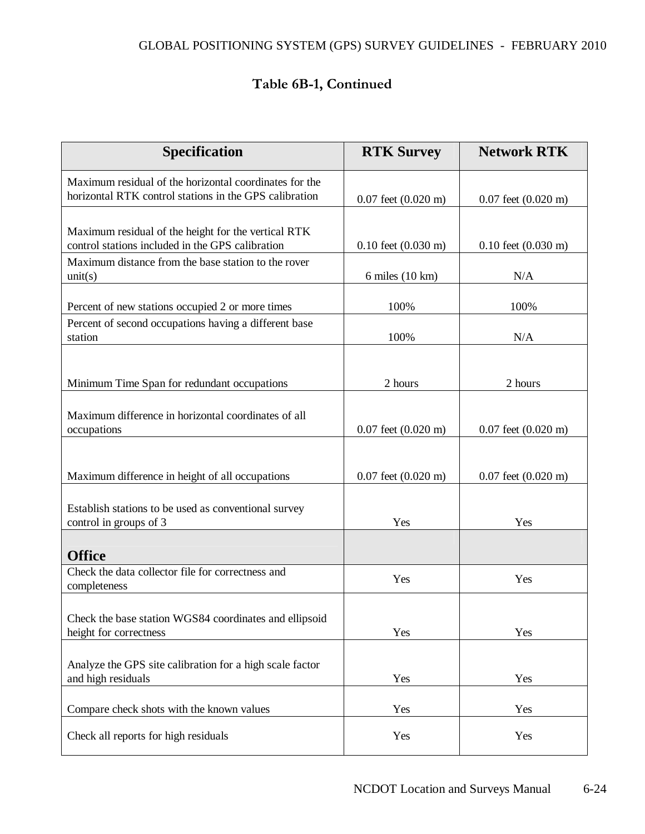# Table 6B-1, Continued

| <b>Specification</b>                                                                                             | <b>RTK Survey</b>               | <b>Network RTK</b>              |
|------------------------------------------------------------------------------------------------------------------|---------------------------------|---------------------------------|
| Maximum residual of the horizontal coordinates for the<br>horizontal RTK control stations in the GPS calibration | $0.07$ feet $(0.020 \text{ m})$ | $0.07$ feet $(0.020 \text{ m})$ |
| Maximum residual of the height for the vertical RTK<br>control stations included in the GPS calibration          | $0.10$ feet $(0.030 \text{ m})$ | $0.10$ feet $(0.030 \text{ m})$ |
| Maximum distance from the base station to the rover<br>unit(s)                                                   | 6 miles (10 km)                 | N/A                             |
| Percent of new stations occupied 2 or more times                                                                 | 100%                            | 100%                            |
| Percent of second occupations having a different base<br>station                                                 | 100%                            | N/A                             |
| Minimum Time Span for redundant occupations                                                                      | 2 hours                         | 2 hours                         |
| Maximum difference in horizontal coordinates of all<br>occupations                                               | $0.07$ feet $(0.020 \text{ m})$ | $0.07$ feet $(0.020 \text{ m})$ |
| Maximum difference in height of all occupations                                                                  | $0.07$ feet $(0.020 \text{ m})$ | $0.07$ feet $(0.020 \text{ m})$ |
| Establish stations to be used as conventional survey<br>control in groups of 3                                   | Yes                             | Yes                             |
| <b>Office</b>                                                                                                    |                                 |                                 |
| Check the data collector file for correctness and<br>completeness                                                | Yes                             | Yes                             |
| Check the base station WGS84 coordinates and ellipsoid<br>height for correctness                                 | Yes                             | Yes                             |
| Analyze the GPS site calibration for a high scale factor<br>and high residuals                                   | Yes                             | Yes                             |
| Compare check shots with the known values                                                                        | Yes                             | Yes                             |
| Check all reports for high residuals                                                                             | Yes                             | Yes                             |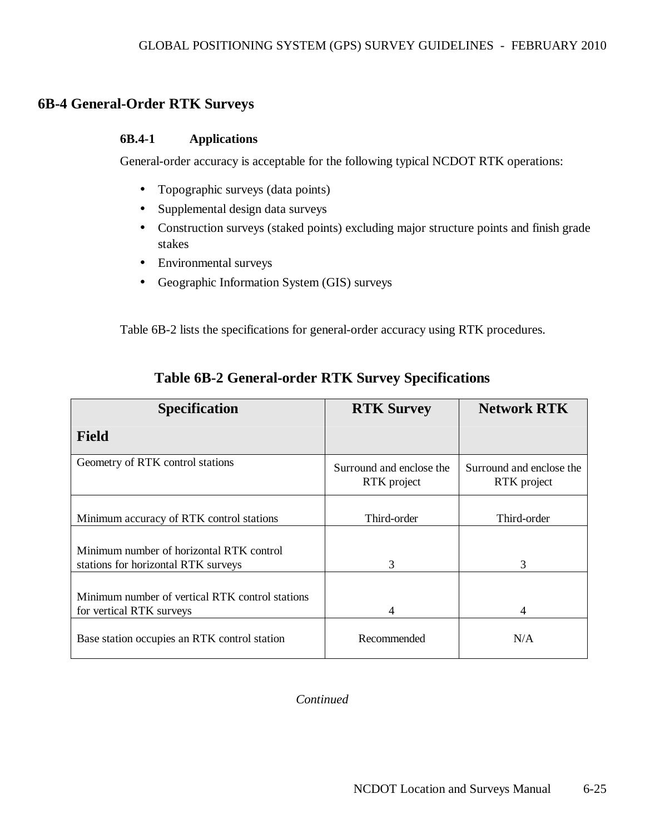# **6B-4 General-Order RTK Surveys**

#### **6B.4-1 Applications**

General-order accuracy is acceptable for the following typical NCDOT RTK operations:

- Topographic surveys (data points)
- Supplemental design data surveys
- Construction surveys (staked points) excluding major structure points and finish grade stakes
- Environmental surveys
- Geographic Information System (GIS) surveys

Table 6B-2 lists the specifications for general-order accuracy using RTK procedures.

| <b>Specification</b>                                                            | <b>RTK Survey</b>                       | <b>Network RTK</b>                      |
|---------------------------------------------------------------------------------|-----------------------------------------|-----------------------------------------|
| <b>Field</b>                                                                    |                                         |                                         |
| Geometry of RTK control stations                                                | Surround and enclose the<br>RTK project | Surround and enclose the<br>RTK project |
| Minimum accuracy of RTK control stations                                        | Third-order                             | Third-order                             |
| Minimum number of horizontal RTK control<br>stations for horizontal RTK surveys | 3                                       | 3                                       |
| Minimum number of vertical RTK control stations<br>for vertical RTK surveys     | 4                                       | 4                                       |
| Base station occupies an RTK control station                                    | Recommended                             | N/A                                     |

# **Table 6B-2 General-order RTK Survey Specifications**

*Continued*